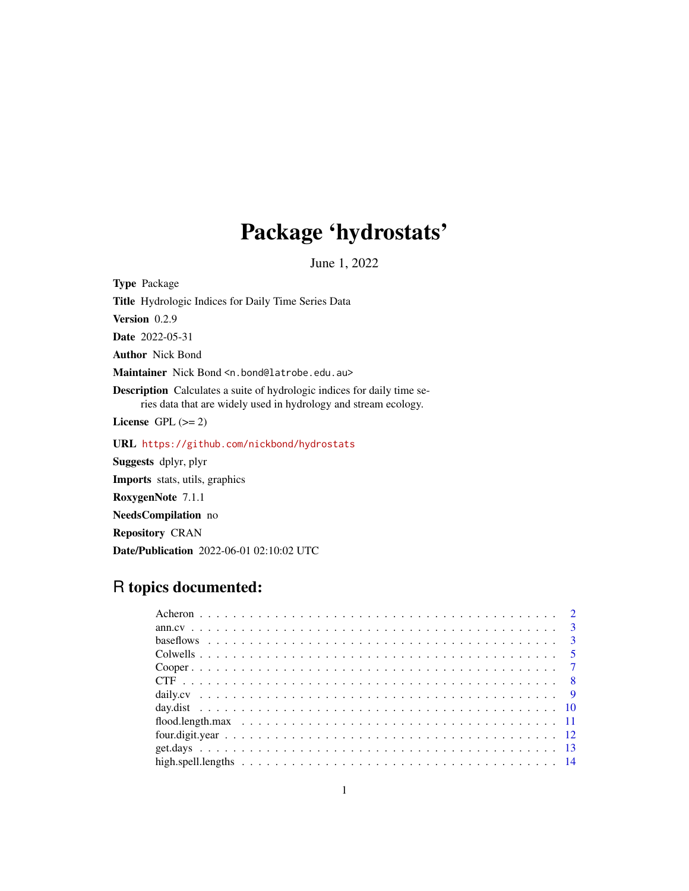# Package 'hydrostats'

June 1, 2022

<span id="page-0-0"></span>Type Package Title Hydrologic Indices for Daily Time Series Data Version 0.2.9 Date 2022-05-31 Author Nick Bond Maintainer Nick Bond <n.bond@latrobe.edu.au> Description Calculates a suite of hydrologic indices for daily time series data that are widely used in hydrology and stream ecology. License GPL  $(>= 2)$ URL <https://github.com/nickbond/hydrostats> Suggests dplyr, plyr Imports stats, utils, graphics RoxygenNote 7.1.1 NeedsCompilation no Repository CRAN

## R topics documented:

Date/Publication 2022-06-01 02:10:02 UTC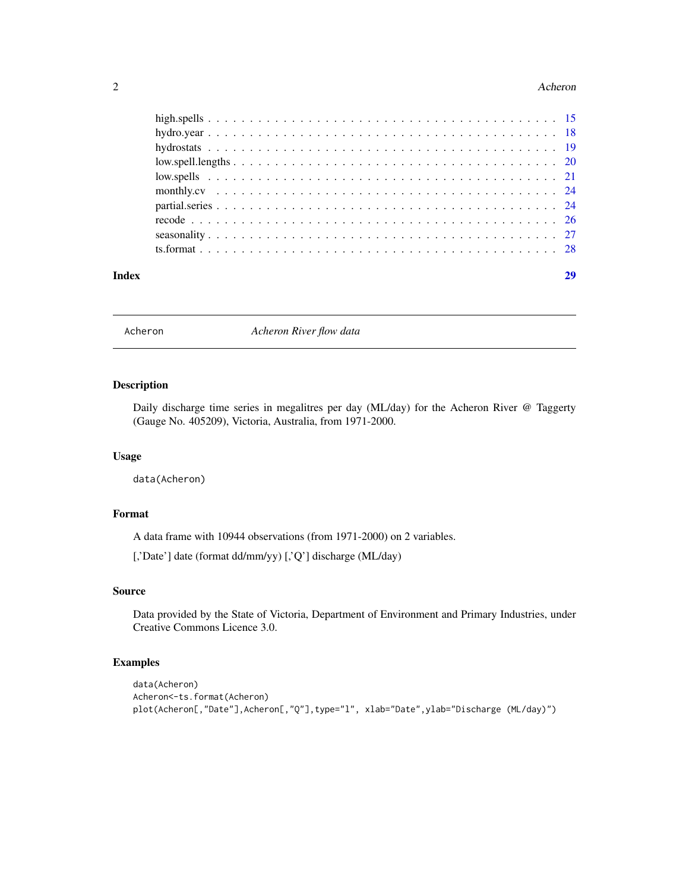#### <span id="page-1-0"></span>2 Acheron and the contract of the contract of the contract of the contract of the contract of the contract of the contract of the contract of the contract of the contract of the contract of the contract of the contract of

| Index |  |
|-------|--|
|       |  |
|       |  |
|       |  |
|       |  |
|       |  |
|       |  |
|       |  |
|       |  |
|       |  |
|       |  |

Acheron *Acheron River flow data*

## Description

Daily discharge time series in megalitres per day (ML/day) for the Acheron River @ Taggerty (Gauge No. 405209), Victoria, Australia, from 1971-2000.

#### Usage

data(Acheron)

## Format

A data frame with 10944 observations (from 1971-2000) on 2 variables.

[,'Date'] date (format dd/mm/yy) [,'Q'] discharge (ML/day)

#### Source

Data provided by the State of Victoria, Department of Environment and Primary Industries, under Creative Commons Licence 3.0.

## Examples

```
data(Acheron)
Acheron<-ts.format(Acheron)
plot(Acheron[,"Date"],Acheron[,"Q"],type="l", xlab="Date",ylab="Discharge (ML/day)")
```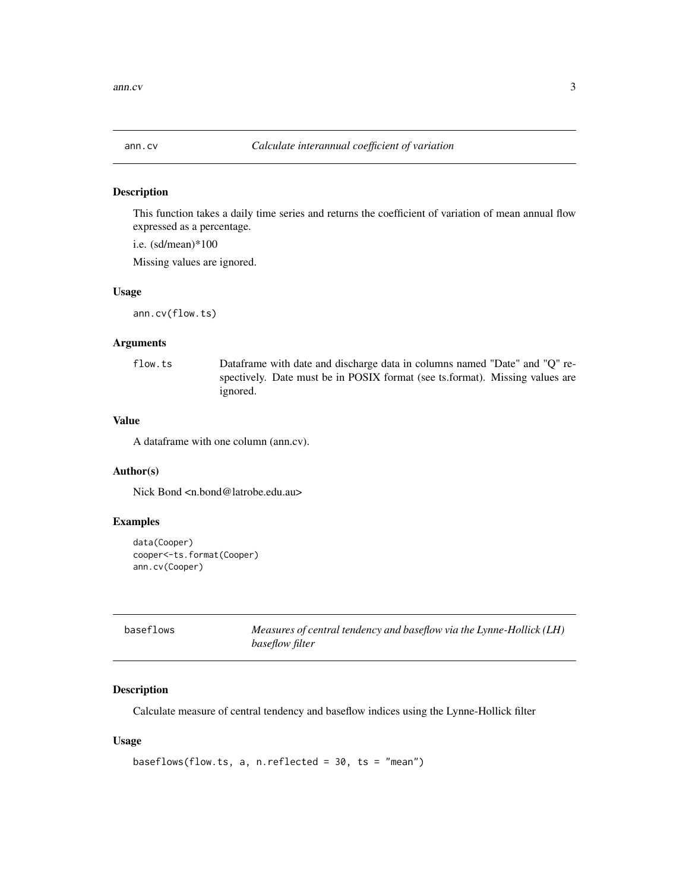<span id="page-2-0"></span>

### Description

This function takes a daily time series and returns the coefficient of variation of mean annual flow expressed as a percentage.

i.e. (sd/mean)\*100

Missing values are ignored.

#### Usage

ann.cv(flow.ts)

## Arguments

flow.ts Dataframe with date and discharge data in columns named "Date" and "Q" respectively. Date must be in POSIX format (see ts.format). Missing values are ignored.

## Value

A dataframe with one column (ann.cv).

## Author(s)

Nick Bond <n.bond@latrobe.edu.au>

#### Examples

```
data(Cooper)
cooper<-ts.format(Cooper)
ann.cv(Cooper)
```

| baseflows | Measures of central tendency and baseflow via the Lynne-Hollick (LH) |
|-----------|----------------------------------------------------------------------|
|           | baseflow filter                                                      |

## Description

Calculate measure of central tendency and baseflow indices using the Lynne-Hollick filter

#### Usage

```
baseflows(flow.ts, a, n.reflected = 30, ts = "mean")
```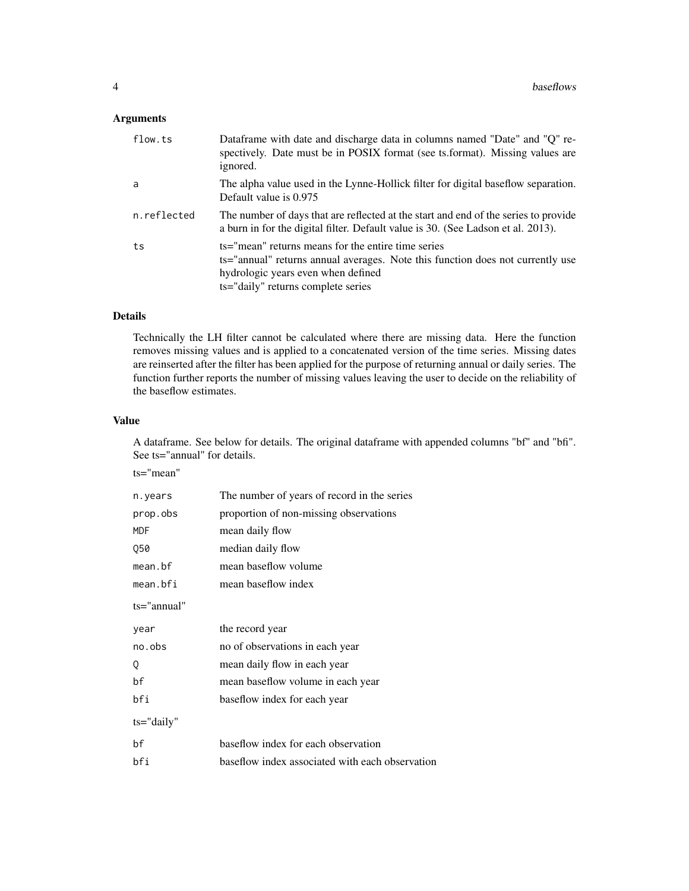## Arguments

| flow.ts     | Dataframe with date and discharge data in columns named "Date" and "Q" re-<br>spectively. Date must be in POSIX format (see ts. format). Missing values are<br>ignored.                                          |
|-------------|------------------------------------------------------------------------------------------------------------------------------------------------------------------------------------------------------------------|
| a           | The alpha value used in the Lynne-Hollick filter for digital baseflow separation.<br>Default value is 0.975                                                                                                      |
| n.reflected | The number of days that are reflected at the start and end of the series to provide<br>a burn in for the digital filter. Default value is 30. (See Ladson et al. 2013).                                          |
| ts          | ts="mean" returns means for the entire time series<br>ts="annual" returns annual averages. Note this function does not currently use<br>hydrologic years even when defined<br>ts="daily" returns complete series |

## Details

Technically the LH filter cannot be calculated where there are missing data. Here the function removes missing values and is applied to a concatenated version of the time series. Missing dates are reinserted after the filter has been applied for the purpose of returning annual or daily series. The function further reports the number of missing values leaving the user to decide on the reliability of the baseflow estimates.

## Value

A dataframe. See below for details. The original dataframe with appended columns "bf" and "bfi". See ts="annual" for details.

ts="mean"

| The number of years of record in the series     |
|-------------------------------------------------|
| proportion of non-missing observations          |
| mean daily flow                                 |
| median daily flow                               |
| mean baseflow volume                            |
| mean baseflow index                             |
|                                                 |
| the record year                                 |
| no of observations in each year                 |
| mean daily flow in each year                    |
| mean baseflow volume in each year               |
| baseflow index for each year                    |
|                                                 |
| baseflow index for each observation             |
| baseflow index associated with each observation |
|                                                 |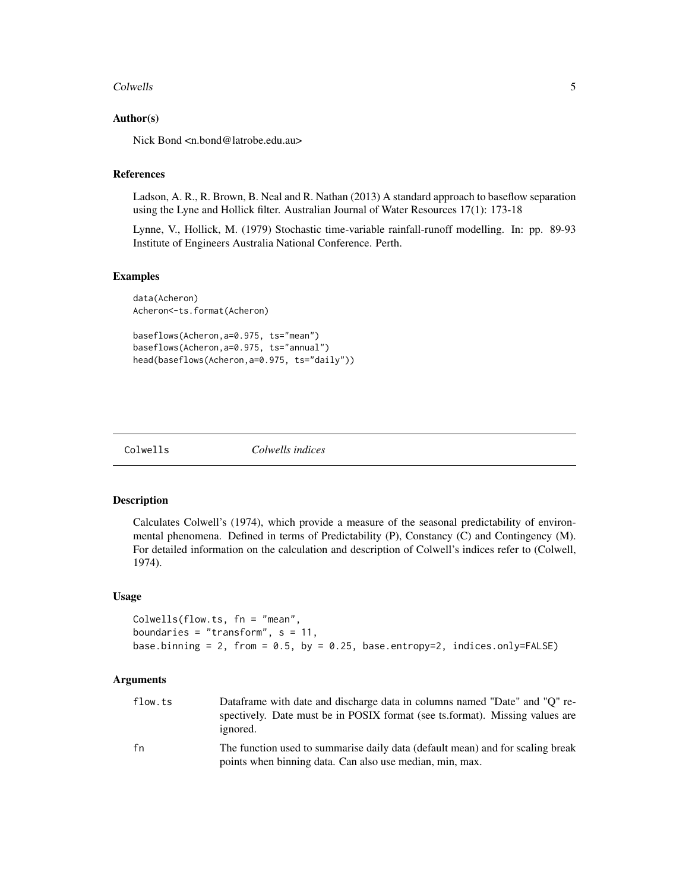#### <span id="page-4-0"></span>Colwells 5

## Author(s)

Nick Bond <n.bond@latrobe.edu.au>

## References

Ladson, A. R., R. Brown, B. Neal and R. Nathan (2013) A standard approach to baseflow separation using the Lyne and Hollick filter. Australian Journal of Water Resources 17(1): 173-18

Lynne, V., Hollick, M. (1979) Stochastic time-variable rainfall-runoff modelling. In: pp. 89-93 Institute of Engineers Australia National Conference. Perth.

## Examples

```
data(Acheron)
Acheron<-ts.format(Acheron)
baseflows(Acheron,a=0.975, ts="mean")
```
baseflows(Acheron,a=0.975, ts="annual") head(baseflows(Acheron,a=0.975, ts="daily"))

Colwells *Colwells indices*

## Description

Calculates Colwell's (1974), which provide a measure of the seasonal predictability of environmental phenomena. Defined in terms of Predictability (P), Constancy (C) and Contingency (M). For detailed information on the calculation and description of Colwell's indices refer to (Colwell, 1974).

#### Usage

```
Colwells(flow.ts, fn = "mean",
boundaries = "transform", s = 11,
base.binning = 2, from = 0.5, by = 0.25, base.entropy=2, indices.only=FALSE)
```
#### Arguments

| flow.ts | Dataframe with date and discharge data in columns named "Date" and "O" re-<br>spectively. Date must be in POSIX format (see ts.format). Missing values are<br>ignored. |
|---------|------------------------------------------------------------------------------------------------------------------------------------------------------------------------|
| fn      | The function used to summarise daily data (default mean) and for scaling break<br>points when binning data. Can also use median, min, max.                             |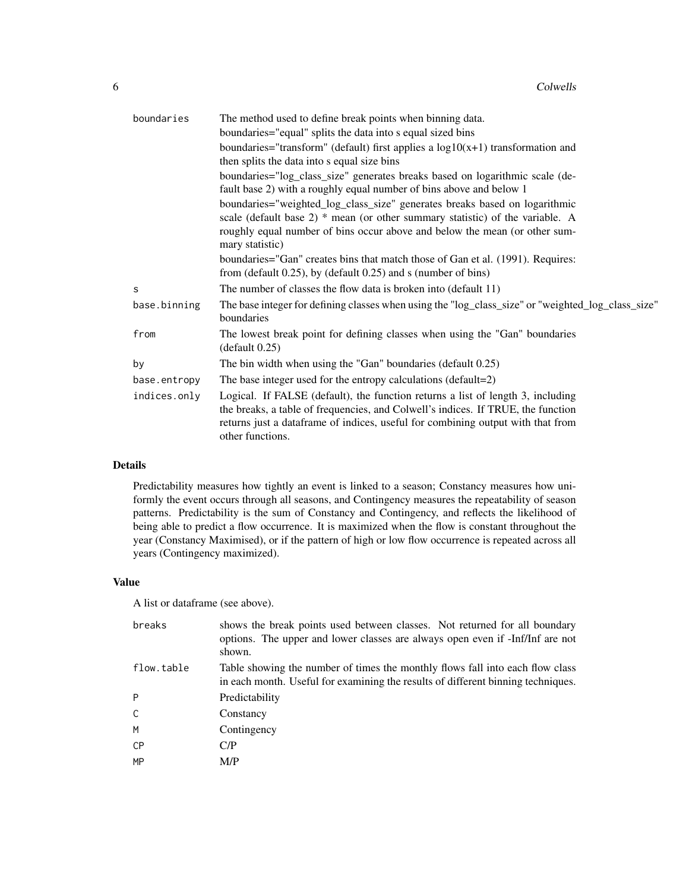| boundaries   | The method used to define break points when binning data.                                                                                                                                                                                                                  |
|--------------|----------------------------------------------------------------------------------------------------------------------------------------------------------------------------------------------------------------------------------------------------------------------------|
|              | boundaries="equal" splits the data into s equal sized bins                                                                                                                                                                                                                 |
|              | boundaries="transform" (default) first applies a $log10(x+1)$ transformation and                                                                                                                                                                                           |
|              | then splits the data into s equal size bins                                                                                                                                                                                                                                |
|              | boundaries="log_class_size" generates breaks based on logarithmic scale (de-<br>fault base 2) with a roughly equal number of bins above and below 1                                                                                                                        |
|              | boundaries="weighted_log_class_size" generates breaks based on logarithmic                                                                                                                                                                                                 |
|              | scale (default base $2$ ) * mean (or other summary statistic) of the variable. A                                                                                                                                                                                           |
|              | roughly equal number of bins occur above and below the mean (or other sum-<br>mary statistic)                                                                                                                                                                              |
|              | boundaries="Gan" creates bins that match those of Gan et al. (1991). Requires:                                                                                                                                                                                             |
|              | from (default $0.25$ ), by (default $0.25$ ) and s (number of bins)                                                                                                                                                                                                        |
| S            | The number of classes the flow data is broken into (default 11)                                                                                                                                                                                                            |
| base.binning | The base integer for defining classes when using the "log_class_size" or "weighted_log_class_size"<br>boundaries                                                                                                                                                           |
| from         | The lowest break point for defining classes when using the "Gan" boundaries<br>(default 0.25)                                                                                                                                                                              |
| by           | The bin width when using the "Gan" boundaries (default 0.25)                                                                                                                                                                                                               |
| base.entropy | The base integer used for the entropy calculations (default=2)                                                                                                                                                                                                             |
| indices.only | Logical. If FALSE (default), the function returns a list of length 3, including<br>the breaks, a table of frequencies, and Colwell's indices. If TRUE, the function<br>returns just a dataframe of indices, useful for combining output with that from<br>other functions. |
|              |                                                                                                                                                                                                                                                                            |

## Details

Predictability measures how tightly an event is linked to a season; Constancy measures how uniformly the event occurs through all seasons, and Contingency measures the repeatability of season patterns. Predictability is the sum of Constancy and Contingency, and reflects the likelihood of being able to predict a flow occurrence. It is maximized when the flow is constant throughout the year (Constancy Maximised), or if the pattern of high or low flow occurrence is repeated across all years (Contingency maximized).

## Value

A list or dataframe (see above).

| breaks     | shows the break points used between classes. Not returned for all boundary<br>options. The upper and lower classes are always open even if -Inf/Inf are not<br>shown. |
|------------|-----------------------------------------------------------------------------------------------------------------------------------------------------------------------|
| flow.table | Table showing the number of times the monthly flows fall into each flow class<br>in each month. Useful for examining the results of different binning techniques.     |
| P          | Predictability                                                                                                                                                        |
| C          | Constancy                                                                                                                                                             |
| M          | Contingency                                                                                                                                                           |
| <b>CP</b>  | C/P                                                                                                                                                                   |
| MP         | M/P                                                                                                                                                                   |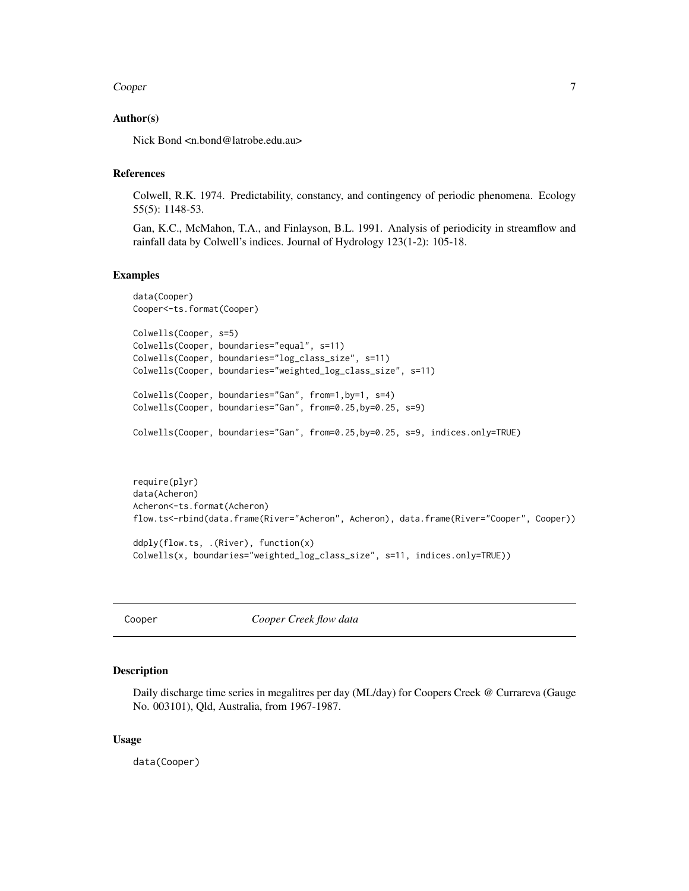#### <span id="page-6-0"></span>Cooper 7

## Author(s)

Nick Bond <n.bond@latrobe.edu.au>

## References

Colwell, R.K. 1974. Predictability, constancy, and contingency of periodic phenomena. Ecology 55(5): 1148-53.

Gan, K.C., McMahon, T.A., and Finlayson, B.L. 1991. Analysis of periodicity in streamflow and rainfall data by Colwell's indices. Journal of Hydrology 123(1-2): 105-18.

#### Examples

```
data(Cooper)
Cooper<-ts.format(Cooper)
Colwells(Cooper, s=5)
Colwells(Cooper, boundaries="equal", s=11)
Colwells(Cooper, boundaries="log_class_size", s=11)
Colwells(Cooper, boundaries="weighted_log_class_size", s=11)
Colwells(Cooper, boundaries="Gan", from=1,by=1, s=4)
Colwells(Cooper, boundaries="Gan", from=0.25,by=0.25, s=9)
Colwells(Cooper, boundaries="Gan", from=0.25,by=0.25, s=9, indices.only=TRUE)
require(plyr)
data(Acheron)
Acheron<-ts.format(Acheron)
```

```
flow.ts<-rbind(data.frame(River="Acheron", Acheron), data.frame(River="Cooper", Cooper))
```

```
ddply(flow.ts, .(River), function(x)
Colwells(x, boundaries="weighted_log_class_size", s=11, indices.only=TRUE))
```
Cooper *Cooper Creek flow data*

#### Description

Daily discharge time series in megalitres per day (ML/day) for Coopers Creek @ Currareva (Gauge No. 003101), Qld, Australia, from 1967-1987.

#### Usage

data(Cooper)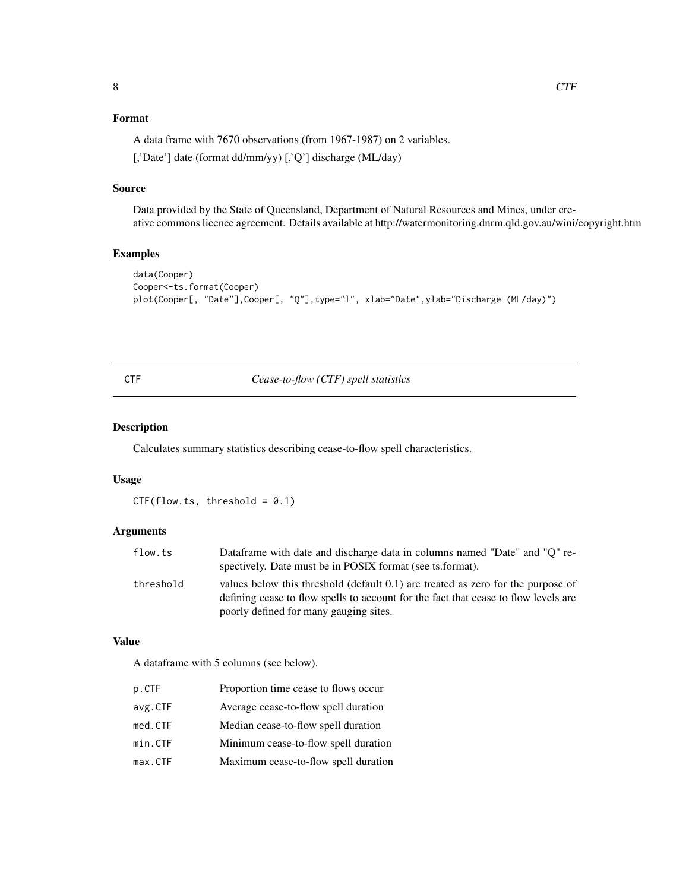## <span id="page-7-0"></span>Format

A data frame with 7670 observations (from 1967-1987) on 2 variables.

[,'Date'] date (format dd/mm/yy) [,'Q'] discharge (ML/day)

## Source

Data provided by the State of Queensland, Department of Natural Resources and Mines, under creative commons licence agreement. Details available at http://watermonitoring.dnrm.qld.gov.au/wini/copyright.htm

## Examples

```
data(Cooper)
Cooper<-ts.format(Cooper)
plot(Cooper[, "Date"],Cooper[, "Q"],type="l", xlab="Date",ylab="Discharge (ML/day)")
```
## CTF *Cease-to-flow (CTF) spell statistics*

## Description

Calculates summary statistics describing cease-to-flow spell characteristics.

## Usage

 $CTF(flow.ts, threshold = 0.1)$ 

## Arguments

| flow.ts   | Dataframe with date and discharge data in columns named "Date" and "O" re-                                                                                              |
|-----------|-------------------------------------------------------------------------------------------------------------------------------------------------------------------------|
|           | spectively. Date must be in POSIX format (see ts. format).                                                                                                              |
| threshold | values below this threshold (default 0.1) are treated as zero for the purpose of<br>defining cease to flow spells to account for the fact that cease to flow levels are |
|           | poorly defined for many gauging sites.                                                                                                                                  |

#### Value

A dataframe with 5 columns (see below).

| p.CTF   | Proportion time cease to flows occur |
|---------|--------------------------------------|
| avg.CTF | Average cease-to-flow spell duration |
| med.CTF | Median cease-to-flow spell duration  |
| min.CTF | Minimum cease-to-flow spell duration |
| max.CTF | Maximum cease-to-flow spell duration |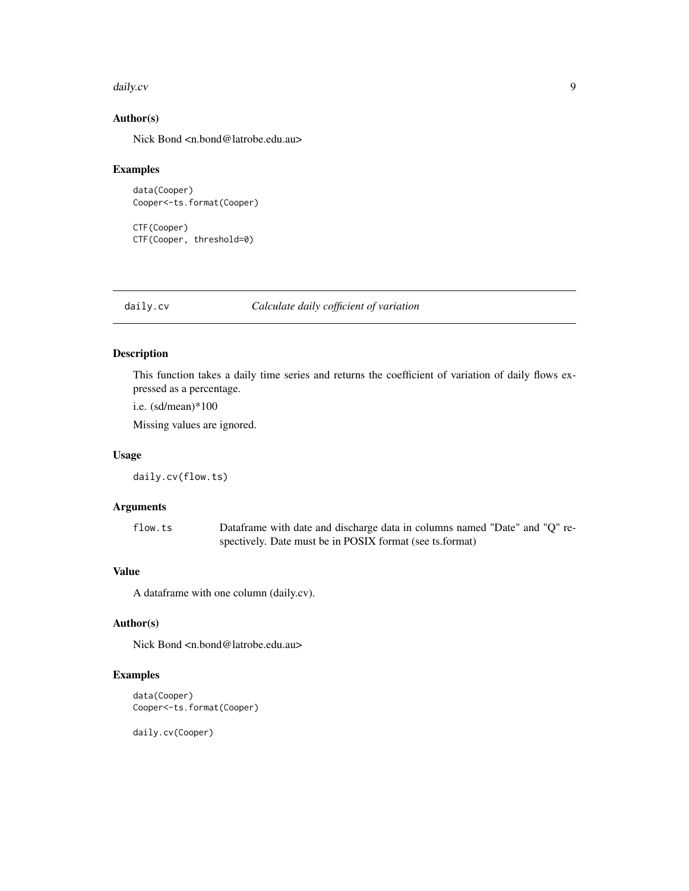#### <span id="page-8-0"></span>daily.cv **9**

## Author(s)

Nick Bond <n.bond@latrobe.edu.au>

## Examples

```
data(Cooper)
Cooper<-ts.format(Cooper)
```
CTF(Cooper) CTF(Cooper, threshold=0)

### daily.cv *Calculate daily cofficient of variation*

## Description

This function takes a daily time series and returns the coefficient of variation of daily flows expressed as a percentage.

i.e. (sd/mean)\*100

Missing values are ignored.

#### Usage

daily.cv(flow.ts)

## Arguments

flow.ts Dataframe with date and discharge data in columns named "Date" and "Q" respectively. Date must be in POSIX format (see ts.format)

## Value

A dataframe with one column (daily.cv).

## Author(s)

Nick Bond <n.bond@latrobe.edu.au>

## Examples

```
data(Cooper)
Cooper<-ts.format(Cooper)
```
daily.cv(Cooper)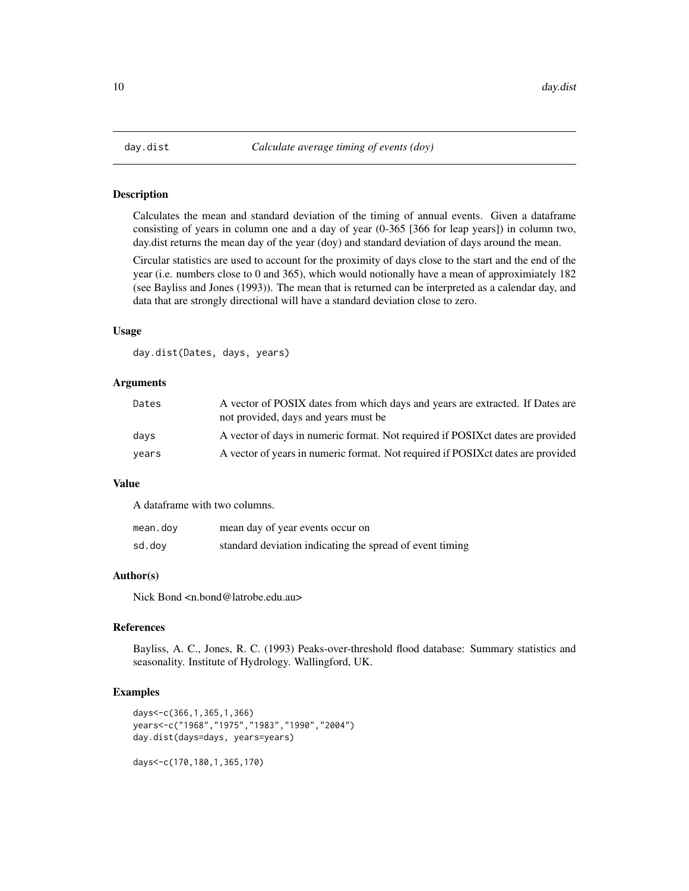<span id="page-9-0"></span>

## Description

Calculates the mean and standard deviation of the timing of annual events. Given a dataframe consisting of years in column one and a day of year (0-365 [366 for leap years]) in column two, day.dist returns the mean day of the year (doy) and standard deviation of days around the mean.

Circular statistics are used to account for the proximity of days close to the start and the end of the year (i.e. numbers close to 0 and 365), which would notionally have a mean of approximiately 182 (see Bayliss and Jones (1993)). The mean that is returned can be interpreted as a calendar day, and data that are strongly directional will have a standard deviation close to zero.

#### Usage

day.dist(Dates, days, years)

## Arguments

| Dates | A vector of POSIX dates from which days and years are extracted. If Dates are<br>not provided, days and years must be |
|-------|-----------------------------------------------------------------------------------------------------------------------|
| days  | A vector of days in numeric format. Not required if POSIX et dates are provided                                       |
| years | A vector of years in numeric format. Not required if POSIX ct dates are provided                                      |

## Value

A dataframe with two columns.

| mean.doy | mean day of year events occur on                         |
|----------|----------------------------------------------------------|
| sd.doy   | standard deviation indicating the spread of event timing |

#### Author(s)

Nick Bond <n.bond@latrobe.edu.au>

## References

Bayliss, A. C., Jones, R. C. (1993) Peaks-over-threshold flood database: Summary statistics and seasonality. Institute of Hydrology. Wallingford, UK.

## Examples

```
days<-c(366,1,365,1,366)
years<-c("1968","1975","1983","1990","2004")
day.dist(days=days, years=years)
```
days<-c(170,180,1,365,170)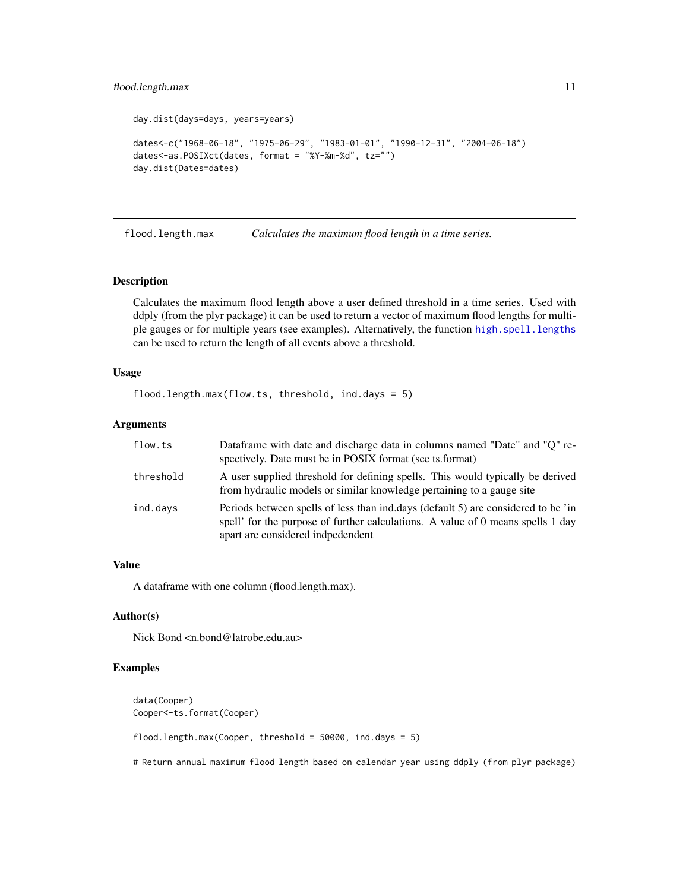## <span id="page-10-0"></span>flood.length.max 11

```
day.dist(days=days, years=years)
dates<-c("1968-06-18", "1975-06-29", "1983-01-01", "1990-12-31", "2004-06-18")
dates<-as.POSIXct(dates, format = "%Y-%m-%d", tz="")
day.dist(Dates=dates)
```
flood.length.max *Calculates the maximum flood length in a time series.*

#### Description

Calculates the maximum flood length above a user defined threshold in a time series. Used with ddply (from the plyr package) it can be used to return a vector of maximum flood lengths for multiple gauges or for multiple years (see examples). Alternatively, the function [high.spell.lengths](#page-13-1) can be used to return the length of all events above a threshold.

## Usage

```
flood.length.max(flow.ts, threshold, ind.days = 5)
```
#### Arguments

| flow.ts   | Dataframe with date and discharge data in columns named "Date" and "Q" re-<br>spectively. Date must be in POSIX format (see ts. format)                                                                   |
|-----------|-----------------------------------------------------------------------------------------------------------------------------------------------------------------------------------------------------------|
| threshold | A user supplied threshold for defining spells. This would typically be derived<br>from hydraulic models or similar knowledge pertaining to a gauge site                                                   |
| ind.days  | Periods between spells of less than ind.days (default 5) are considered to be 'in<br>spell' for the purpose of further calculations. A value of 0 means spells 1 day<br>apart are considered indpedendent |

## Value

A dataframe with one column (flood.length.max).

#### Author(s)

Nick Bond <n.bond@latrobe.edu.au>

## Examples

```
data(Cooper)
Cooper<-ts.format(Cooper)
flood.length.max(Cooper, threshold = 50000, ind.days = 5)
```
# Return annual maximum flood length based on calendar year using ddply (from plyr package)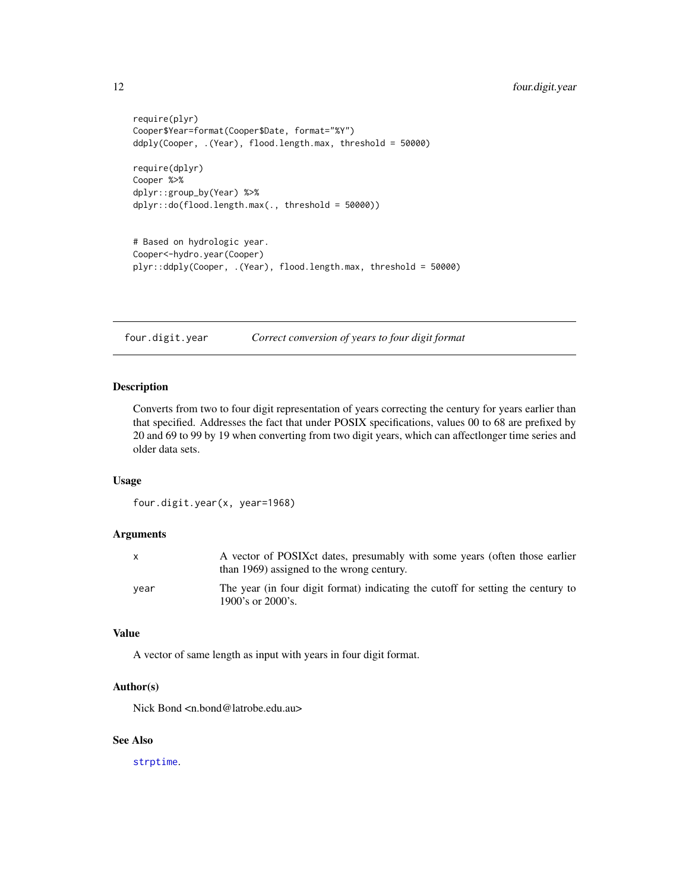```
require(plyr)
Cooper$Year=format(Cooper$Date, format="%Y")
ddply(Cooper, .(Year), flood.length.max, threshold = 50000)
require(dplyr)
Cooper %>%
dplyr::group_by(Year) %>%
dplyr::do(flood.length.max(., threshold = 50000))
# Based on hydrologic year.
Cooper<-hydro.year(Cooper)
```
plyr::ddply(Cooper, .(Year), flood.length.max, threshold = 50000)

four.digit.year *Correct conversion of years to four digit format*

## Description

Converts from two to four digit representation of years correcting the century for years earlier than that specified. Addresses the fact that under POSIX specifications, values 00 to 68 are prefixed by 20 and 69 to 99 by 19 when converting from two digit years, which can affectlonger time series and older data sets.

#### Usage

```
four.digit.year(x, year=1968)
```
#### Arguments

|      | A vector of POSIX et dates, presumably with some years (often those earlier<br>than 1969) assigned to the wrong century. |
|------|--------------------------------------------------------------------------------------------------------------------------|
| vear | The year (in four digit format) indicating the cutoff for setting the century to<br>1900's or $2000$ 's.                 |

#### Value

A vector of same length as input with years in four digit format.

## Author(s)

Nick Bond <n.bond@latrobe.edu.au>

#### See Also

[strptime](#page-0-0).

<span id="page-11-0"></span>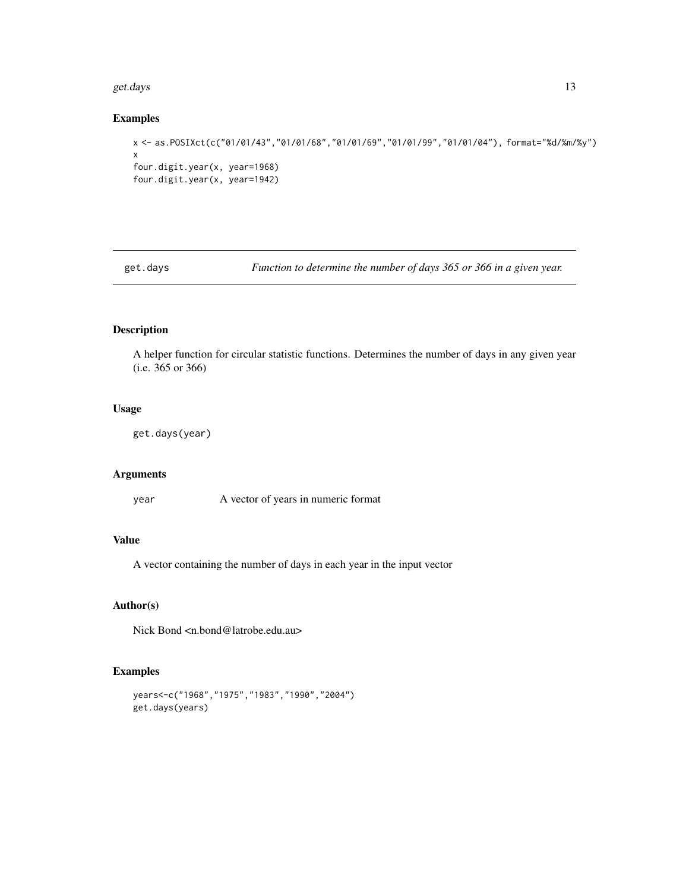#### <span id="page-12-0"></span>get.days  $\qquad \qquad$  13

## Examples

```
x <- as.POSIXct(c("01/01/43","01/01/68","01/01/69","01/01/99","01/01/04"), format="%d/%m/%y")
x
four.digit.year(x, year=1968)
four.digit.year(x, year=1942)
```
get.days *Function to determine the number of days 365 or 366 in a given year.*

## Description

A helper function for circular statistic functions. Determines the number of days in any given year (i.e. 365 or 366)

## Usage

```
get.days(year)
```
## Arguments

year A vector of years in numeric format

## Value

A vector containing the number of days in each year in the input vector

## Author(s)

Nick Bond <n.bond@latrobe.edu.au>

## Examples

```
years<-c("1968","1975","1983","1990","2004")
get.days(years)
```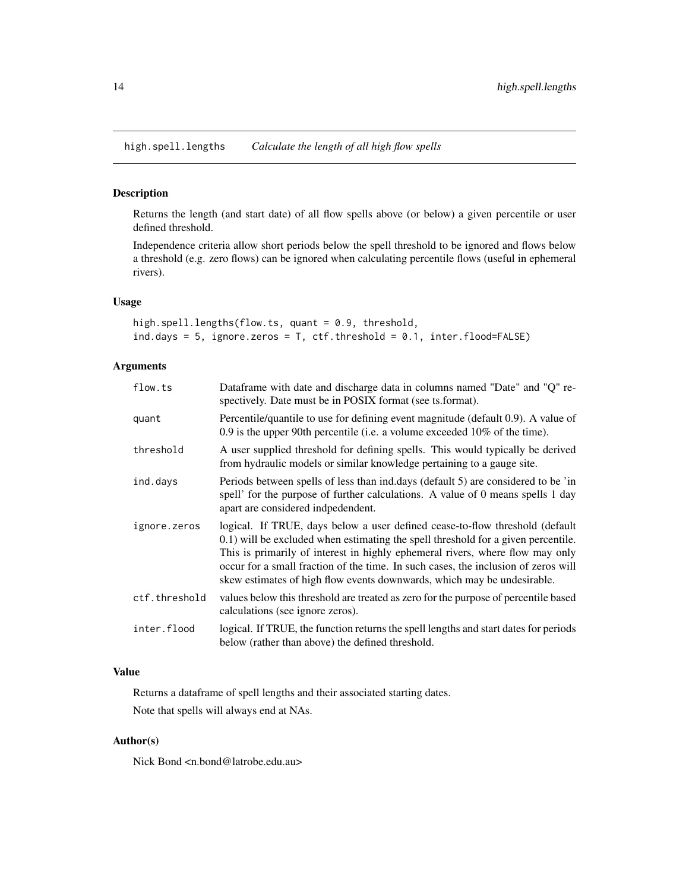<span id="page-13-1"></span><span id="page-13-0"></span>high.spell.lengths *Calculate the length of all high flow spells*

## Description

Returns the length (and start date) of all flow spells above (or below) a given percentile or user defined threshold.

Independence criteria allow short periods below the spell threshold to be ignored and flows below a threshold (e.g. zero flows) can be ignored when calculating percentile flows (useful in ephemeral rivers).

#### Usage

```
high.spell.lengths(flow.ts, quant = 0.9, threshold,
ind.days = 5, ignore.zeros = T, ctf.threshold = 0.1, inter.flood=FALSE)
```
## Arguments

| flow.ts       | Dataframe with date and discharge data in columns named "Date" and "Q" re-<br>spectively. Date must be in POSIX format (see ts.format).                                                                                                                                                                                                                                                                             |
|---------------|---------------------------------------------------------------------------------------------------------------------------------------------------------------------------------------------------------------------------------------------------------------------------------------------------------------------------------------------------------------------------------------------------------------------|
| quant         | Percentile/quantile to use for defining event magnitude (default 0.9). A value of<br>0.9 is the upper 90th percentile (i.e. a volume exceeded $10\%$ of the time).                                                                                                                                                                                                                                                  |
| threshold     | A user supplied threshold for defining spells. This would typically be derived<br>from hydraulic models or similar knowledge pertaining to a gauge site.                                                                                                                                                                                                                                                            |
| ind.days      | Periods between spells of less than ind.days (default 5) are considered to be 'in<br>spell' for the purpose of further calculations. A value of 0 means spells 1 day<br>apart are considered indpedendent.                                                                                                                                                                                                          |
| ignore.zeros  | logical. If TRUE, days below a user defined cease-to-flow threshold (default<br>0.1) will be excluded when estimating the spell threshold for a given percentile.<br>This is primarily of interest in highly ephemeral rivers, where flow may only<br>occur for a small fraction of the time. In such cases, the inclusion of zeros will<br>skew estimates of high flow events downwards, which may be undesirable. |
| ctf.threshold | values below this threshold are treated as zero for the purpose of percentile based<br>calculations (see ignore zeros).                                                                                                                                                                                                                                                                                             |
| inter.flood   | logical. If TRUE, the function returns the spell lengths and start dates for periods<br>below (rather than above) the defined threshold.                                                                                                                                                                                                                                                                            |

## Value

Returns a dataframe of spell lengths and their associated starting dates. Note that spells will always end at NAs.

## Author(s)

Nick Bond <n.bond@latrobe.edu.au>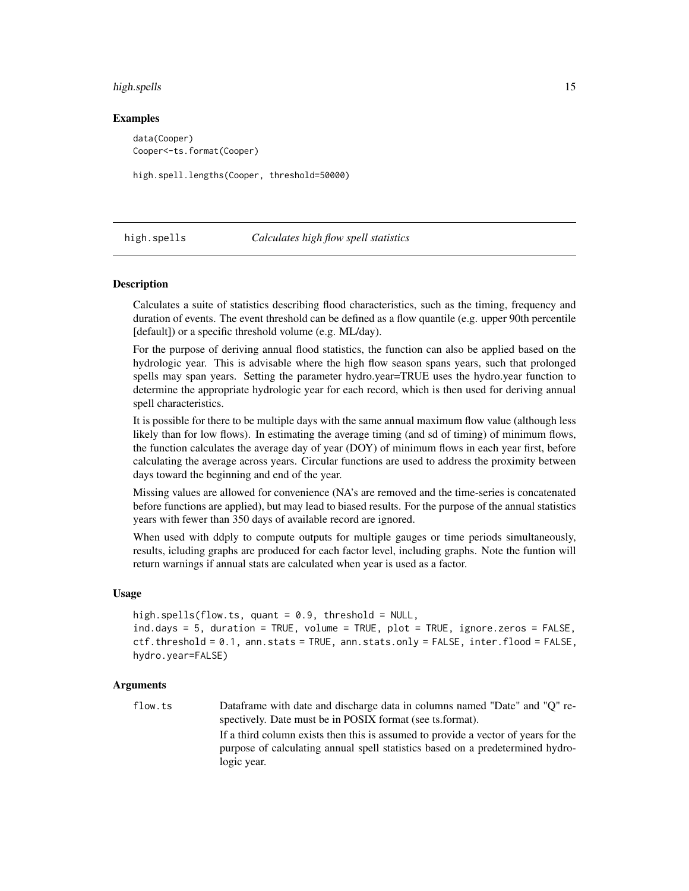#### <span id="page-14-0"></span>high.spells 15

#### Examples

data(Cooper) Cooper<-ts.format(Cooper)

high.spell.lengths(Cooper, threshold=50000)

<span id="page-14-1"></span>high.spells *Calculates high flow spell statistics*

#### Description

Calculates a suite of statistics describing flood characteristics, such as the timing, frequency and duration of events. The event threshold can be defined as a flow quantile (e.g. upper 90th percentile [default]) or a specific threshold volume (e.g. ML/day).

For the purpose of deriving annual flood statistics, the function can also be applied based on the hydrologic year. This is advisable where the high flow season spans years, such that prolonged spells may span years. Setting the parameter hydro.year=TRUE uses the hydro.year function to determine the appropriate hydrologic year for each record, which is then used for deriving annual spell characteristics.

It is possible for there to be multiple days with the same annual maximum flow value (although less likely than for low flows). In estimating the average timing (and sd of timing) of minimum flows, the function calculates the average day of year (DOY) of minimum flows in each year first, before calculating the average across years. Circular functions are used to address the proximity between days toward the beginning and end of the year.

Missing values are allowed for convenience (NA's are removed and the time-series is concatenated before functions are applied), but may lead to biased results. For the purpose of the annual statistics years with fewer than 350 days of available record are ignored.

When used with ddply to compute outputs for multiple gauges or time periods simultaneously, results, icluding graphs are produced for each factor level, including graphs. Note the funtion will return warnings if annual stats are calculated when year is used as a factor.

## Usage

high.spells(flow.ts, quant =  $0.9$ , threshold = NULL, ind.days = 5, duration = TRUE, volume = TRUE, plot = TRUE, ignore.zeros = FALSE, ctf.threshold = 0.1, ann.stats = TRUE, ann.stats.only = FALSE, inter.flood = FALSE, hydro.year=FALSE)

#### Arguments

flow.ts Dataframe with date and discharge data in columns named "Date" and "Q" respectively. Date must be in POSIX format (see ts.format). If a third column exists then this is assumed to provide a vector of years for the purpose of calculating annual spell statistics based on a predetermined hydrologic year.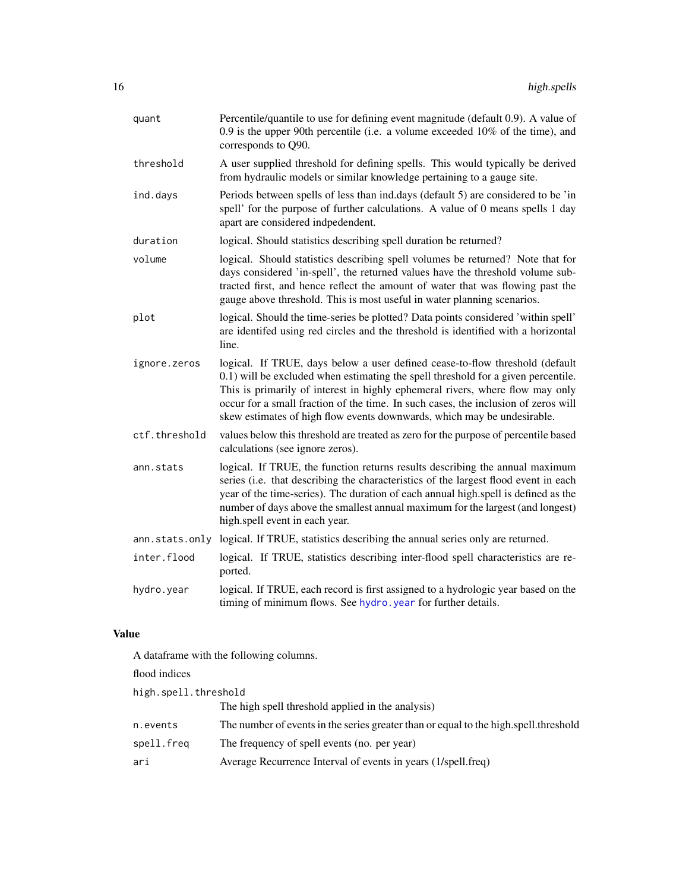<span id="page-15-0"></span>

| quant          | Percentile/quantile to use for defining event magnitude (default 0.9). A value of<br>0.9 is the upper 90th percentile (i.e. a volume exceeded $10\%$ of the time), and<br>corresponds to Q90.                                                                                                                                                                                                                       |
|----------------|---------------------------------------------------------------------------------------------------------------------------------------------------------------------------------------------------------------------------------------------------------------------------------------------------------------------------------------------------------------------------------------------------------------------|
| threshold      | A user supplied threshold for defining spells. This would typically be derived<br>from hydraulic models or similar knowledge pertaining to a gauge site.                                                                                                                                                                                                                                                            |
| ind.days       | Periods between spells of less than ind.days (default 5) are considered to be 'in<br>spell' for the purpose of further calculations. A value of 0 means spells 1 day<br>apart are considered indpedendent.                                                                                                                                                                                                          |
| duration       | logical. Should statistics describing spell duration be returned?                                                                                                                                                                                                                                                                                                                                                   |
| volume         | logical. Should statistics describing spell volumes be returned? Note that for<br>days considered 'in-spell', the returned values have the threshold volume sub-<br>tracted first, and hence reflect the amount of water that was flowing past the<br>gauge above threshold. This is most useful in water planning scenarios.                                                                                       |
| plot           | logical. Should the time-series be plotted? Data points considered 'within spell'<br>are identifed using red circles and the threshold is identified with a horizontal<br>line.                                                                                                                                                                                                                                     |
| ignore.zeros   | logical. If TRUE, days below a user defined cease-to-flow threshold (default<br>0.1) will be excluded when estimating the spell threshold for a given percentile.<br>This is primarily of interest in highly ephemeral rivers, where flow may only<br>occur for a small fraction of the time. In such cases, the inclusion of zeros will<br>skew estimates of high flow events downwards, which may be undesirable. |
| ctf.threshold  | values below this threshold are treated as zero for the purpose of percentile based<br>calculations (see ignore zeros).                                                                                                                                                                                                                                                                                             |
| ann.stats      | logical. If TRUE, the function returns results describing the annual maximum<br>series (i.e. that describing the characteristics of the largest flood event in each<br>year of the time-series). The duration of each annual high.spell is defined as the<br>number of days above the smallest annual maximum for the largest (and longest)<br>high.spell event in each year.                                       |
| ann.stats.only | logical. If TRUE, statistics describing the annual series only are returned.                                                                                                                                                                                                                                                                                                                                        |
| inter.flood    | logical. If TRUE, statistics describing inter-flood spell characteristics are re-<br>ported.                                                                                                                                                                                                                                                                                                                        |
| hydro.year     | logical. If TRUE, each record is first assigned to a hydrologic year based on the<br>timing of minimum flows. See hydro, year for further details.                                                                                                                                                                                                                                                                  |
| <b>Value</b>   |                                                                                                                                                                                                                                                                                                                                                                                                                     |

A dataframe with the following columns.

flood indices

| high.spell.threshold |                                                                                        |  |
|----------------------|----------------------------------------------------------------------------------------|--|
|                      | The high spell threshold applied in the analysis)                                      |  |
| n.events             | The number of events in the series greater than or equal to the high, spell, threshold |  |
| spell.freq           | The frequency of spell events (no. per year)                                           |  |
| ari                  | Average Recurrence Interval of events in years (1/spell.freq)                          |  |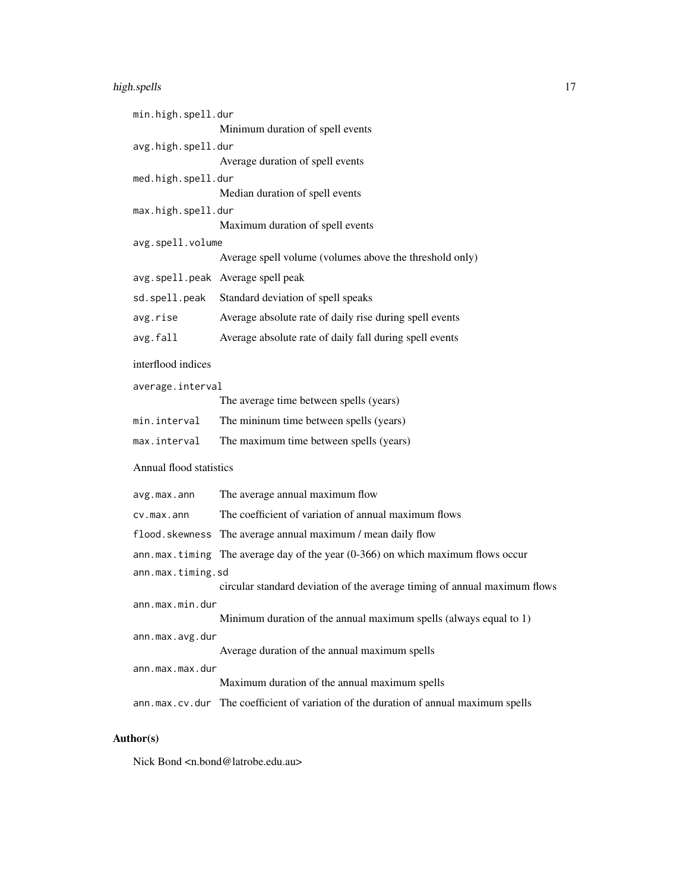## high.spells 17

| min.high.spell.dur      | Minimum duration of spell events                                                     |  |
|-------------------------|--------------------------------------------------------------------------------------|--|
| avg.high.spell.dur      |                                                                                      |  |
|                         | Average duration of spell events                                                     |  |
| med.high.spell.dur      |                                                                                      |  |
|                         | Median duration of spell events                                                      |  |
| max.high.spell.dur      | Maximum duration of spell events                                                     |  |
| avg.spell.volume        |                                                                                      |  |
|                         | Average spell volume (volumes above the threshold only)                              |  |
|                         | avg.spell.peak Average spell peak                                                    |  |
| sd.spell.peak           | Standard deviation of spell speaks                                                   |  |
| avg.rise                | Average absolute rate of daily rise during spell events                              |  |
| avg.fall                | Average absolute rate of daily fall during spell events                              |  |
| interflood indices      |                                                                                      |  |
| average.interval        |                                                                                      |  |
|                         | The average time between spells (years)                                              |  |
| min.interval            | The mininum time between spells (years)                                              |  |
| max.interval            | The maximum time between spells (years)                                              |  |
| Annual flood statistics |                                                                                      |  |
| avg.max.ann             | The average annual maximum flow                                                      |  |
| cv.max.ann              | The coefficient of variation of annual maximum flows                                 |  |
| flood.skewness          | The average annual maximum / mean daily flow                                         |  |
|                         | $ann.max.tining$ The average day of the year (0-366) on which maximum flows occur    |  |
| ann.max.timing.sd       |                                                                                      |  |
|                         | circular standard deviation of the average timing of annual maximum flows            |  |
| ann.max.min.dur         | Minimum duration of the annual maximum spells (always equal to 1)                    |  |
| ann.max.avg.dur         |                                                                                      |  |
|                         | Average duration of the annual maximum spells                                        |  |
| ann.max.max.dur         |                                                                                      |  |
|                         | Maximum duration of the annual maximum spells                                        |  |
|                         | ann.max.cv.dur The coefficient of variation of the duration of annual maximum spells |  |

## Author(s)

Nick Bond <n.bond@latrobe.edu.au>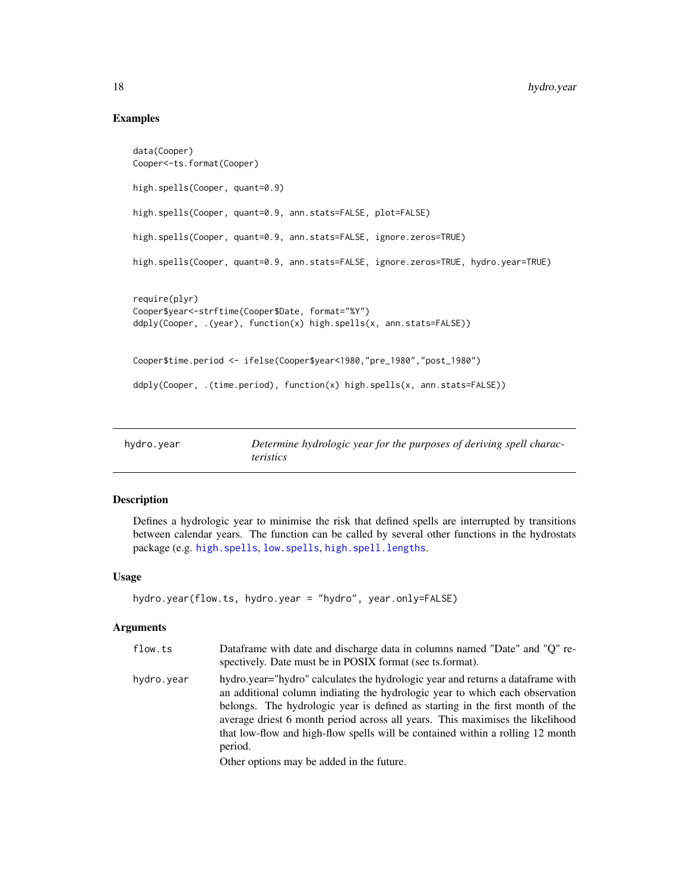## Examples

```
data(Cooper)
Cooper<-ts.format(Cooper)
high.spells(Cooper, quant=0.9)
high.spells(Cooper, quant=0.9, ann.stats=FALSE, plot=FALSE)
high.spells(Cooper, quant=0.9, ann.stats=FALSE, ignore.zeros=TRUE)
high.spells(Cooper, quant=0.9, ann.stats=FALSE, ignore.zeros=TRUE, hydro.year=TRUE)
require(plyr)
Cooper$year<-strftime(Cooper$Date, format="%Y")
ddply(Cooper, .(year), function(x) high.spells(x, ann.stats=FALSE))
Cooper$time.period <- ifelse(Cooper$year<1980,"pre_1980","post_1980")
ddply(Cooper, .(time.period), function(x) high.spells(x, ann.stats=FALSE))
```
<span id="page-17-1"></span>

| hydro.year | Determine hydrologic year for the purposes of deriving spell charac- |
|------------|----------------------------------------------------------------------|
|            | <i>teristics</i>                                                     |

## Description

Defines a hydrologic year to minimise the risk that defined spells are interrupted by transitions between calendar years. The function can be called by several other functions in the hydrostats package (e.g. [high.spells](#page-14-1), [low.spells](#page-20-1), [high.spell.lengths](#page-13-1).

## Usage

```
hydro.year(flow.ts, hydro.year = "hydro", year.only=FALSE)
```
## Arguments

| flow.ts    | Dataframe with date and discharge data in columns named "Date" and "Q" re-<br>spectively. Date must be in POSIX format (see ts. format).                                                                                                                                                                                                                                                                                                                                   |
|------------|----------------------------------------------------------------------------------------------------------------------------------------------------------------------------------------------------------------------------------------------------------------------------------------------------------------------------------------------------------------------------------------------------------------------------------------------------------------------------|
| hydro.year | hydro.year="hydro" calculates the hydrologic year and returns a dataframe with<br>an additional column indiating the hydrologic year to which each observation<br>belongs. The hydrologic year is defined as starting in the first month of the<br>average driest 6 month period across all years. This maximises the likelihood<br>that low-flow and high-flow spells will be contained within a rolling 12 month<br>period.<br>Other options may be added in the future. |

<span id="page-17-0"></span>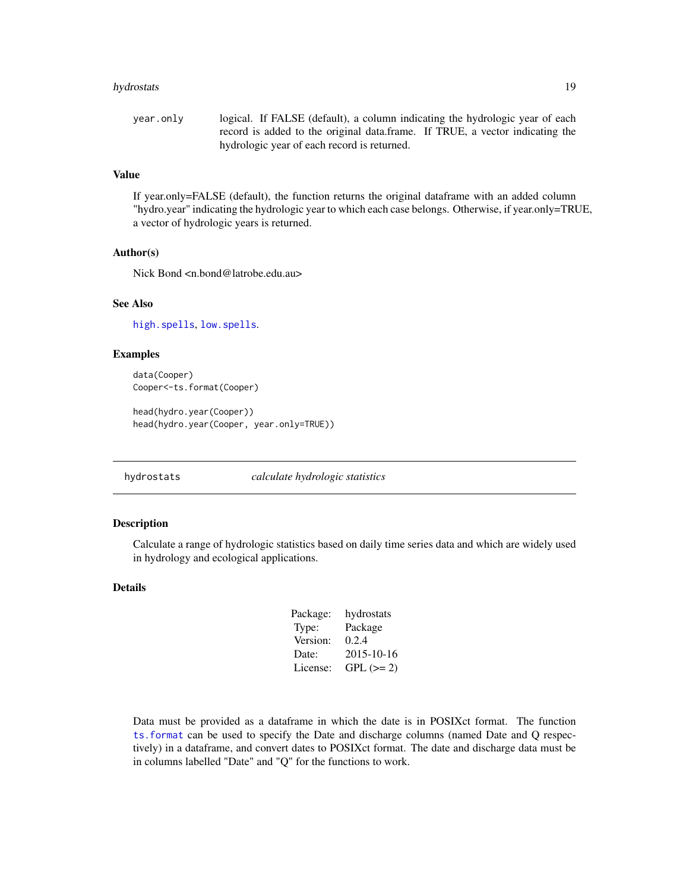#### <span id="page-18-0"></span>hydrostats 19

```
year.only logical. If FALSE (default), a column indicating the hydrologic year of each
                 record is added to the original data.frame. If TRUE, a vector indicating the
                 hydrologic year of each record is returned.
```
## Value

If year.only=FALSE (default), the function returns the original dataframe with an added column "hydro.year" indicating the hydrologic year to which each case belongs. Otherwise, if year.only=TRUE, a vector of hydrologic years is returned.

## Author(s)

Nick Bond <n.bond@latrobe.edu.au>

## See Also

[high.spells](#page-14-1), [low.spells](#page-20-1).

## Examples

```
data(Cooper)
Cooper<-ts.format(Cooper)
head(hydro.year(Cooper))
```

```
head(hydro.year(Cooper, year.only=TRUE))
```
hydrostats *calculate hydrologic statistics*

## Description

Calculate a range of hydrologic statistics based on daily time series data and which are widely used in hydrology and ecological applications.

## Details

| Package: | hydrostats  |
|----------|-------------|
| Type:    | Package     |
| Version: | 0.2.4       |
| Date:    | 2015-10-16  |
| License: | $GPL (= 2)$ |
|          |             |

Data must be provided as a dataframe in which the date is in POSIXct format. The function [ts.format](#page-27-1) can be used to specify the Date and discharge columns (named Date and Q respectively) in a dataframe, and convert dates to POSIXct format. The date and discharge data must be in columns labelled "Date" and "Q" for the functions to work.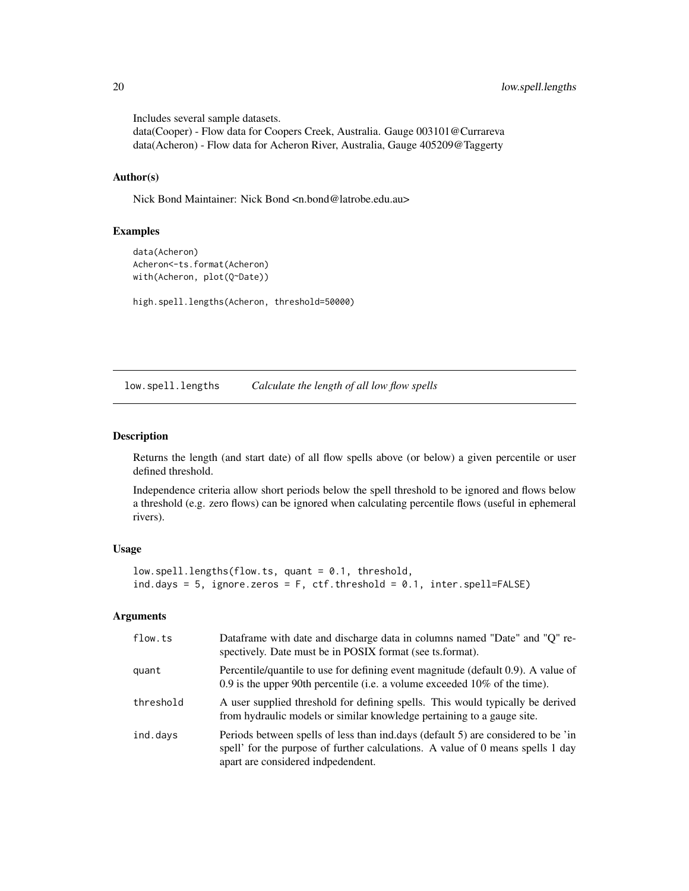Includes several sample datasets. data(Cooper) - Flow data for Coopers Creek, Australia. Gauge 003101@Currareva data(Acheron) - Flow data for Acheron River, Australia, Gauge 405209@Taggerty

#### Author(s)

Nick Bond Maintainer: Nick Bond <n.bond@latrobe.edu.au>

#### Examples

```
data(Acheron)
Acheron<-ts.format(Acheron)
with(Acheron, plot(Q~Date))
```
high.spell.lengths(Acheron, threshold=50000)

low.spell.lengths *Calculate the length of all low flow spells*

#### Description

Returns the length (and start date) of all flow spells above (or below) a given percentile or user defined threshold.

Independence criteria allow short periods below the spell threshold to be ignored and flows below a threshold (e.g. zero flows) can be ignored when calculating percentile flows (useful in ephemeral rivers).

#### Usage

```
low.spell.lengths(flow.ts, quant = 0.1, threshold,
ind.days = 5, ignore.zeros = F, ctf.threshold = 0.1, inter.spell=FALSE)
```
#### Arguments

| flow.ts   | Dataframe with date and discharge data in columns named "Date" and "Q" re-<br>spectively. Date must be in POSIX format (see ts.format).                                                                    |
|-----------|------------------------------------------------------------------------------------------------------------------------------------------------------------------------------------------------------------|
| quant     | Percentile/quantile to use for defining event magnitude (default 0.9). A value of<br>0.9 is the upper 90th percentile (i.e. a volume exceeded $10\%$ of the time).                                         |
| threshold | A user supplied threshold for defining spells. This would typically be derived<br>from hydraulic models or similar knowledge pertaining to a gauge site.                                                   |
| ind.days  | Periods between spells of less than ind.days (default 5) are considered to be 'in<br>spell' for the purpose of further calculations. A value of 0 means spells 1 day<br>apart are considered indpedendent. |

<span id="page-19-0"></span>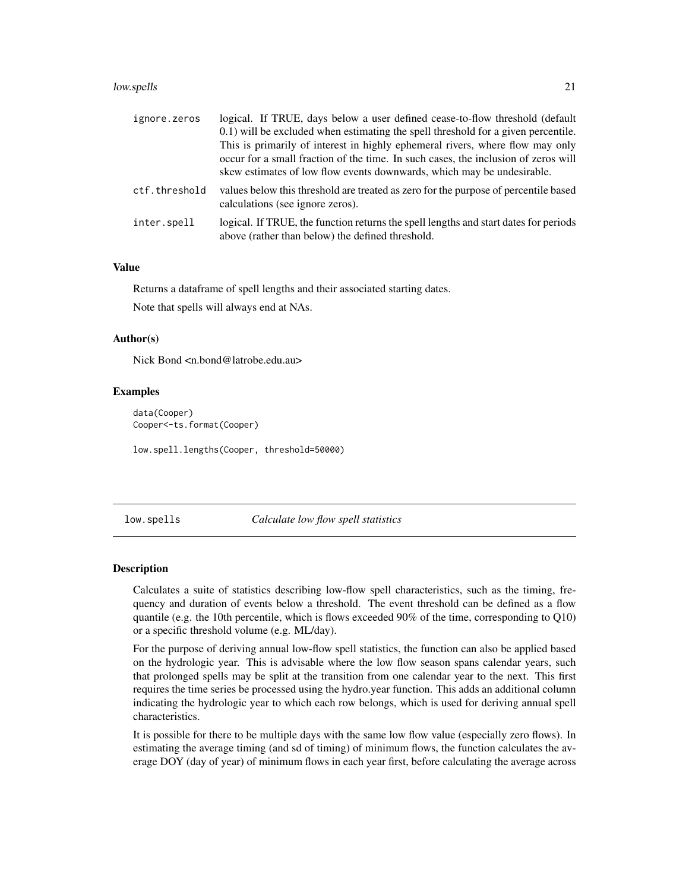#### <span id="page-20-0"></span>low.spells 21

| ignore.zeros  | logical. If TRUE, days below a user defined cease-to-flow threshold (default<br>0.1) will be excluded when estimating the spell threshold for a given percentile.<br>This is primarily of interest in highly ephemeral rivers, where flow may only<br>occur for a small fraction of the time. In such cases, the inclusion of zeros will<br>skew estimates of low flow events downwards, which may be undesirable. |
|---------------|--------------------------------------------------------------------------------------------------------------------------------------------------------------------------------------------------------------------------------------------------------------------------------------------------------------------------------------------------------------------------------------------------------------------|
| ctf.threshold | values below this threshold are treated as zero for the purpose of percentile based<br>calculations (see ignore zeros).                                                                                                                                                                                                                                                                                            |
| inter.spell   | logical. If TRUE, the function returns the spell lengths and start dates for periods<br>above (rather than below) the defined threshold.                                                                                                                                                                                                                                                                           |

## Value

Returns a dataframe of spell lengths and their associated starting dates.

Note that spells will always end at NAs.

#### Author(s)

Nick Bond <n.bond@latrobe.edu.au>

#### Examples

```
data(Cooper)
Cooper<-ts.format(Cooper)
low.spell.lengths(Cooper, threshold=50000)
```
<span id="page-20-1"></span>low.spells *Calculate low flow spell statistics*

## Description

Calculates a suite of statistics describing low-flow spell characteristics, such as the timing, frequency and duration of events below a threshold. The event threshold can be defined as a flow quantile (e.g. the 10th percentile, which is flows exceeded 90% of the time, corresponding to Q10) or a specific threshold volume (e.g. ML/day).

For the purpose of deriving annual low-flow spell statistics, the function can also be applied based on the hydrologic year. This is advisable where the low flow season spans calendar years, such that prolonged spells may be split at the transition from one calendar year to the next. This first requires the time series be processed using the hydro.year function. This adds an additional column indicating the hydrologic year to which each row belongs, which is used for deriving annual spell characteristics.

It is possible for there to be multiple days with the same low flow value (especially zero flows). In estimating the average timing (and sd of timing) of minimum flows, the function calculates the average DOY (day of year) of minimum flows in each year first, before calculating the average across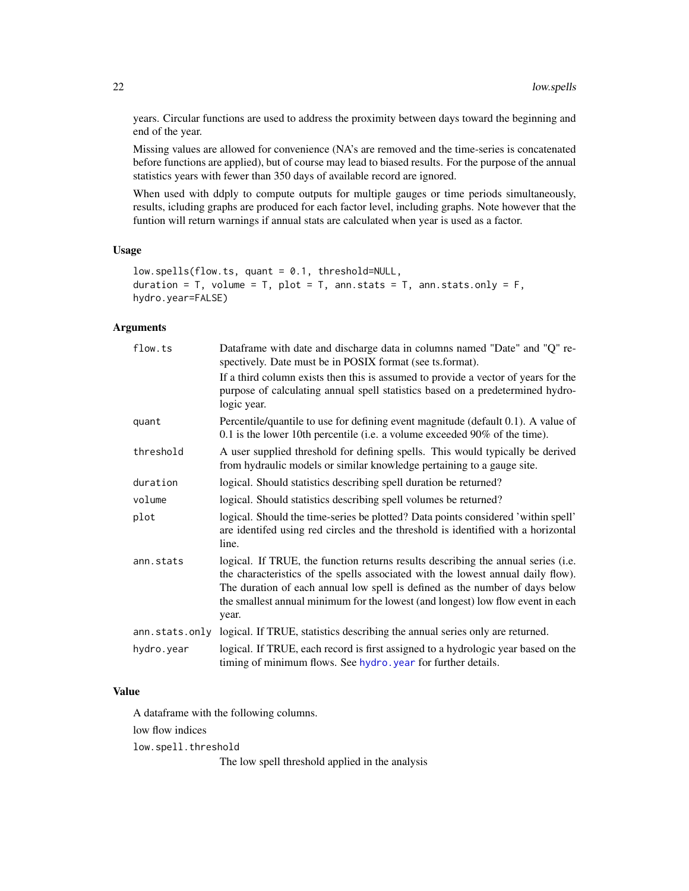<span id="page-21-0"></span>years. Circular functions are used to address the proximity between days toward the beginning and end of the year.

Missing values are allowed for convenience (NA's are removed and the time-series is concatenated before functions are applied), but of course may lead to biased results. For the purpose of the annual statistics years with fewer than 350 days of available record are ignored.

When used with ddply to compute outputs for multiple gauges or time periods simultaneously, results, icluding graphs are produced for each factor level, including graphs. Note however that the funtion will return warnings if annual stats are calculated when year is used as a factor.

## Usage

```
low.spells(flow.ts, quant = 0.1, threshold=NULL,
duration = T, volume = T, plot = T, ann.stats = T, ann.stats.only = F,
hydro.year=FALSE)
```
## Arguments

| flow.ts        | Dataframe with date and discharge data in columns named "Date" and "Q" re-<br>spectively. Date must be in POSIX format (see ts.format).                                                                                                                                                                                                           |
|----------------|---------------------------------------------------------------------------------------------------------------------------------------------------------------------------------------------------------------------------------------------------------------------------------------------------------------------------------------------------|
|                | If a third column exists then this is assumed to provide a vector of years for the<br>purpose of calculating annual spell statistics based on a predetermined hydro-<br>logic year.                                                                                                                                                               |
| quant          | Percentile/quantile to use for defining event magnitude (default 0.1). A value of<br>$0.1$ is the lower 10th percentile (i.e. a volume exceeded 90% of the time).                                                                                                                                                                                 |
| threshold      | A user supplied threshold for defining spells. This would typically be derived<br>from hydraulic models or similar knowledge pertaining to a gauge site.                                                                                                                                                                                          |
| duration       | logical. Should statistics describing spell duration be returned?                                                                                                                                                                                                                                                                                 |
| volume         | logical. Should statistics describing spell volumes be returned?                                                                                                                                                                                                                                                                                  |
| plot           | logical. Should the time-series be plotted? Data points considered 'within spell'<br>are identifed using red circles and the threshold is identified with a horizontal<br>line.                                                                                                                                                                   |
| ann.stats      | logical. If TRUE, the function returns results describing the annual series (i.e.<br>the characteristics of the spells associated with the lowest annual daily flow).<br>The duration of each annual low spell is defined as the number of days below<br>the smallest annual minimum for the lowest (and longest) low flow event in each<br>year. |
| ann.stats.only | logical. If TRUE, statistics describing the annual series only are returned.                                                                                                                                                                                                                                                                      |
| hydro.year     | logical. If TRUE, each record is first assigned to a hydrologic year based on the<br>timing of minimum flows. See hydro. year for further details.                                                                                                                                                                                                |

## Value

A dataframe with the following columns.

low flow indices

low.spell.threshold

The low spell threshold applied in the analysis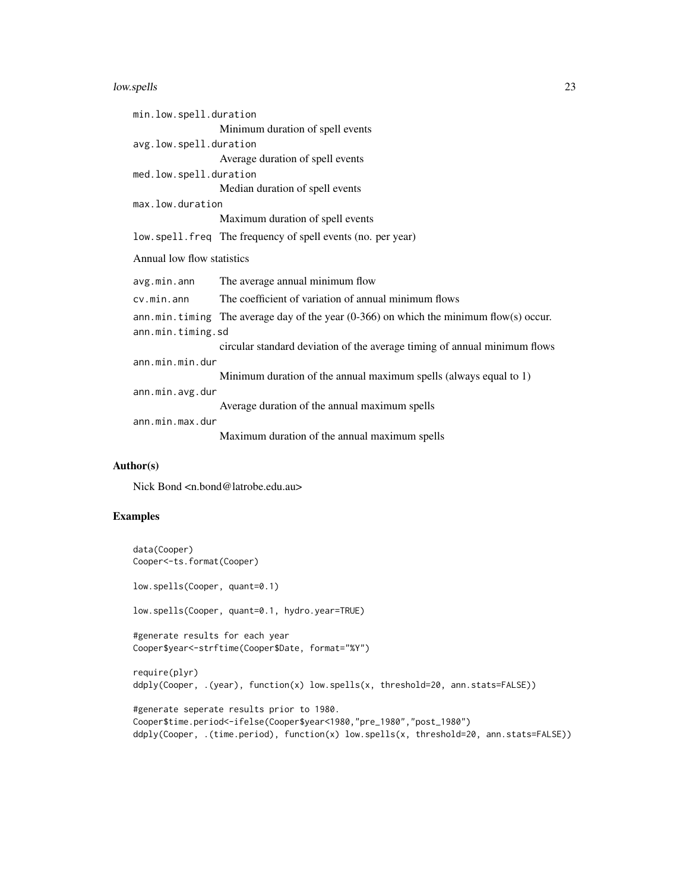#### low.spells 23

| min.low.spell.duration     |                                                                                          |  |
|----------------------------|------------------------------------------------------------------------------------------|--|
|                            | Minimum duration of spell events                                                         |  |
| avg.low.spell.duration     |                                                                                          |  |
|                            | Average duration of spell events                                                         |  |
| med.low.spell.duration     |                                                                                          |  |
|                            | Median duration of spell events                                                          |  |
| max.low.duration           |                                                                                          |  |
|                            | Maximum duration of spell events                                                         |  |
|                            | low.spell.freq The frequency of spell events (no. per year)                              |  |
| Annual low flow statistics |                                                                                          |  |
| avg.min.ann                | The average annual minimum flow                                                          |  |
| cv.min.ann                 | The coefficient of variation of annual minimum flows                                     |  |
|                            | ann.min.timing The average day of the year $(0-366)$ on which the minimum flow(s) occur. |  |
| ann.min.timing.sd          |                                                                                          |  |
|                            | circular standard deviation of the average timing of annual minimum flows                |  |
| ann.min.min.dur            |                                                                                          |  |
|                            | Minimum duration of the annual maximum spells (always equal to 1)                        |  |
| ann.min.avg.dur            |                                                                                          |  |
|                            | Average duration of the annual maximum spells                                            |  |
| ann.min.max.dur            |                                                                                          |  |
|                            | Maximum duration of the annual maximum spells                                            |  |

## Author(s)

Nick Bond <n.bond@latrobe.edu.au>

## Examples

```
data(Cooper)
Cooper<-ts.format(Cooper)
low.spells(Cooper, quant=0.1)
low.spells(Cooper, quant=0.1, hydro.year=TRUE)
#generate results for each year
Cooper$year<-strftime(Cooper$Date, format="%Y")
require(plyr)
ddply(Cooper, .(year), function(x) low.spells(x, threshold=20, ann.stats=FALSE))
#generate seperate results prior to 1980.
Cooper$time.period<-ifelse(Cooper$year<1980,"pre_1980","post_1980")
ddply(Cooper, .(time.period), function(x) low.spells(x, threshold=20, ann.stats=FALSE))
```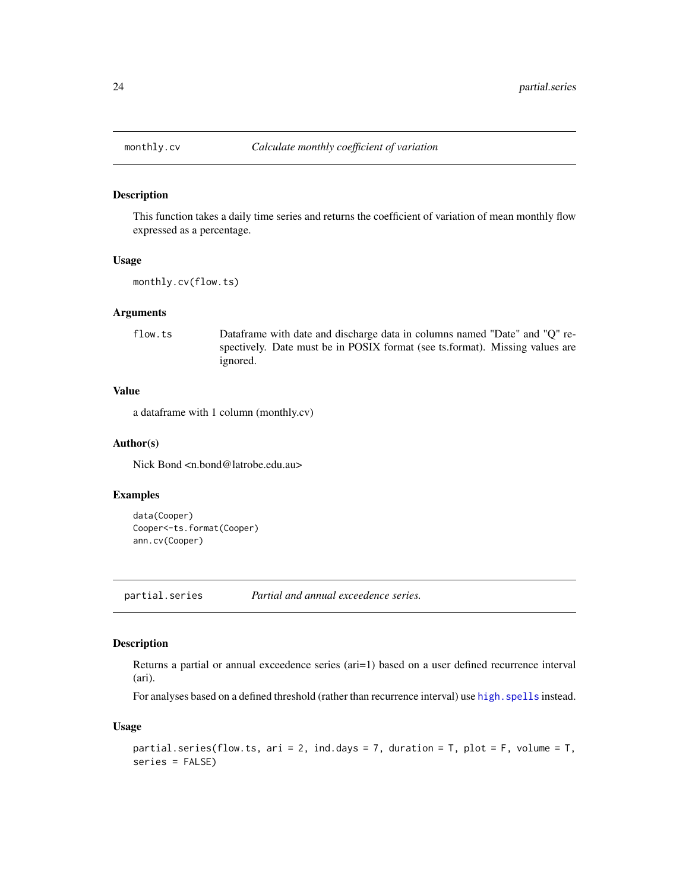<span id="page-23-0"></span>

#### Description

This function takes a daily time series and returns the coefficient of variation of mean monthly flow expressed as a percentage.

#### Usage

monthly.cv(flow.ts)

#### Arguments

flow.ts Dataframe with date and discharge data in columns named "Date" and "Q" respectively. Date must be in POSIX format (see ts.format). Missing values are ignored.

## Value

a dataframe with 1 column (monthly.cv)

## Author(s)

Nick Bond <n.bond@latrobe.edu.au>

## Examples

```
data(Cooper)
Cooper<-ts.format(Cooper)
ann.cv(Cooper)
```
partial.series *Partial and annual exceedence series.*

### Description

Returns a partial or annual exceedence series (ari=1) based on a user defined recurrence interval (ari).

For analyses based on a defined threshold (rather than recurrence interval) use high. spells instead.

#### Usage

```
partial.series(flow.ts, ari = 2, ind.days = 7, duration = T, plot = F, volume = T,
series = FALSE)
```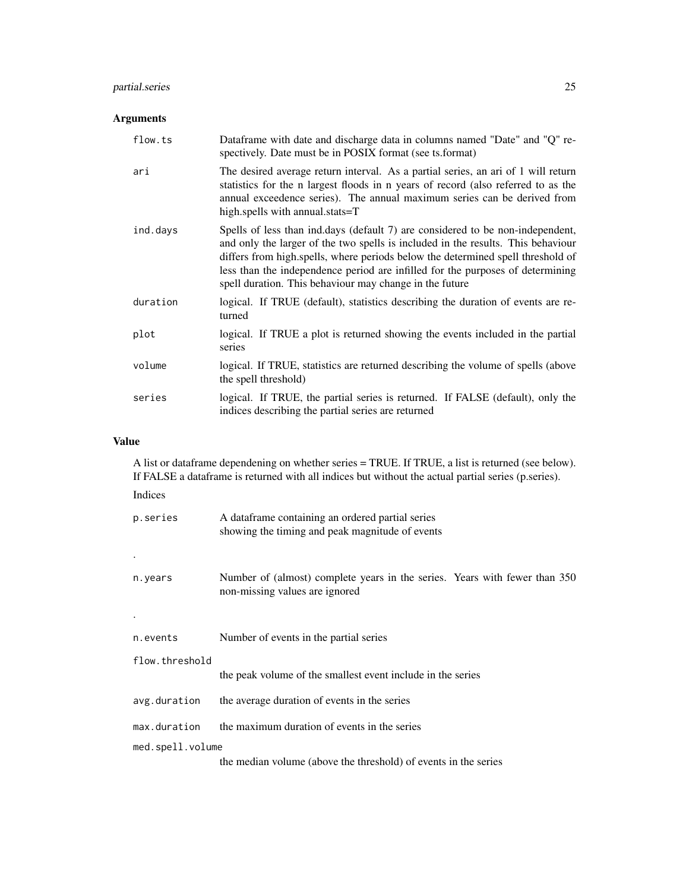## partial.series 25

## Arguments

| flow.ts  | Dataframe with date and discharge data in columns named "Date" and "Q" re-<br>spectively. Date must be in POSIX format (see ts.format)                                                                                                                                                                                                                                                             |
|----------|----------------------------------------------------------------------------------------------------------------------------------------------------------------------------------------------------------------------------------------------------------------------------------------------------------------------------------------------------------------------------------------------------|
| ari      | The desired average return interval. As a partial series, an ari of 1 will return<br>statistics for the n largest floods in n years of record (also referred to as the<br>annual exceedence series). The annual maximum series can be derived from<br>high.spells with annual.stats=T                                                                                                              |
| ind.days | Spells of less than ind.days (default 7) are considered to be non-independent,<br>and only the larger of the two spells is included in the results. This behaviour<br>differs from high.spells, where periods below the determined spell threshold of<br>less than the independence period are infilled for the purposes of determining<br>spell duration. This behaviour may change in the future |
| duration | logical. If TRUE (default), statistics describing the duration of events are re-<br>turned                                                                                                                                                                                                                                                                                                         |
| plot     | logical. If TRUE a plot is returned showing the events included in the partial<br>series                                                                                                                                                                                                                                                                                                           |
| volume   | logical. If TRUE, statistics are returned describing the volume of spells (above<br>the spell threshold)                                                                                                                                                                                                                                                                                           |
| series   | logical. If TRUE, the partial series is returned. If FALSE (default), only the<br>indices describing the partial series are returned                                                                                                                                                                                                                                                               |

## Value

A list or dataframe dependening on whether series = TRUE. If TRUE, a list is returned (see below). If FALSE a dataframe is returned with all indices but without the actual partial series (p.series).

## Indices

| p.series<br>$\bullet$ | A data frame containing an ordered partial series<br>showing the timing and peak magnitude of events         |
|-----------------------|--------------------------------------------------------------------------------------------------------------|
| n.years               | Number of (almost) complete years in the series. Years with fewer than 350<br>non-missing values are ignored |
| n.events              | Number of events in the partial series                                                                       |
| flow.threshold        | the peak volume of the smallest event include in the series                                                  |
| avg.duration          | the average duration of events in the series                                                                 |
| max.duration          | the maximum duration of events in the series                                                                 |
| med.spell.volume      |                                                                                                              |
|                       | the median volume (above the threshold) of events in the series                                              |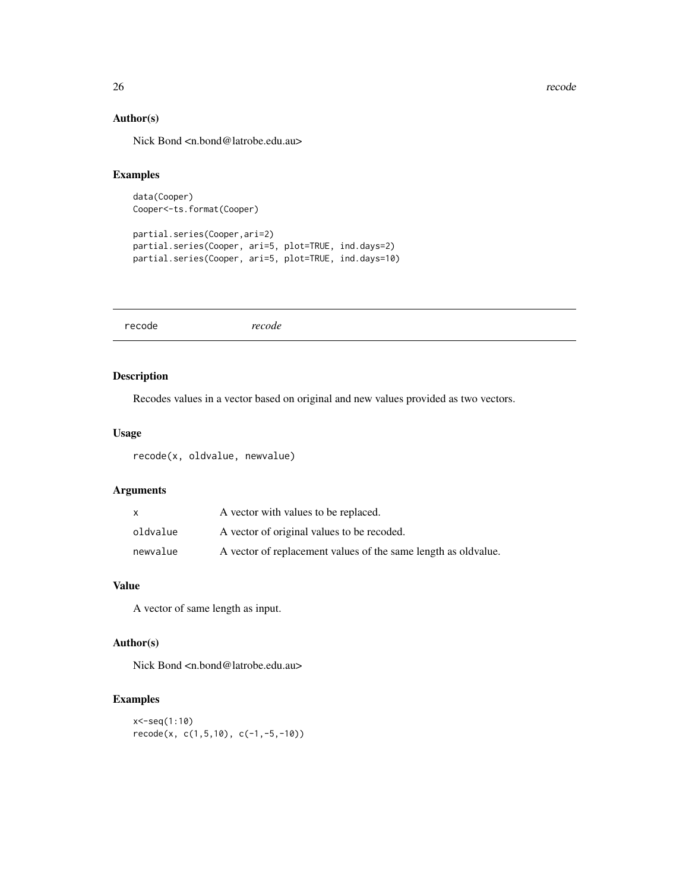<span id="page-25-0"></span>26 *recode* 

## Author(s)

Nick Bond <n.bond@latrobe.edu.au>

## Examples

```
data(Cooper)
Cooper<-ts.format(Cooper)
```
partial.series(Cooper,ari=2) partial.series(Cooper, ari=5, plot=TRUE, ind.days=2) partial.series(Cooper, ari=5, plot=TRUE, ind.days=10)

recode *recode*

## Description

Recodes values in a vector based on original and new values provided as two vectors.

## Usage

recode(x, oldvalue, newvalue)

## Arguments

| X        | A vector with values to be replaced.                           |
|----------|----------------------------------------------------------------|
| oldvalue | A vector of original values to be recoded.                     |
| newvalue | A vector of replacement values of the same length as oldvalue. |

## Value

A vector of same length as input.

## Author(s)

Nick Bond <n.bond@latrobe.edu.au>

## Examples

```
x<-seq(1:10)
recode(x, c(1,5,10), c(-1,-5,-10))
```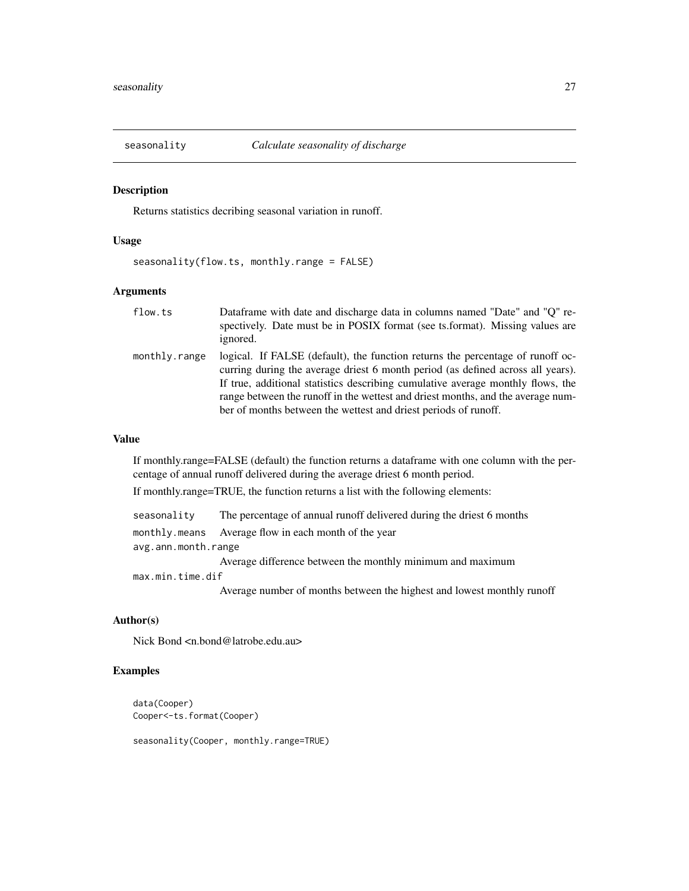<span id="page-26-0"></span>

### Description

Returns statistics decribing seasonal variation in runoff.

## Usage

seasonality(flow.ts, monthly.range = FALSE)

## Arguments

| flow.ts       | Dataframe with date and discharge data in columns named "Date" and "O" re-<br>spectively. Date must be in POSIX format (see ts. format). Missing values are<br>ignored.                                                                                                                                                                                                                                    |
|---------------|------------------------------------------------------------------------------------------------------------------------------------------------------------------------------------------------------------------------------------------------------------------------------------------------------------------------------------------------------------------------------------------------------------|
| monthly.range | logical. If FALSE (default), the function returns the percentage of runoff oc-<br>curring during the average driest 6 month period (as defined across all years).<br>If true, additional statistics describing cumulative average monthly flows, the<br>range between the runoff in the wettest and driest months, and the average num-<br>ber of months between the wettest and driest periods of runoff. |

## Value

If monthly.range=FALSE (default) the function returns a dataframe with one column with the percentage of annual runoff delivered during the average driest 6 month period.

If monthly.range=TRUE, the function returns a list with the following elements:

| seasonality         | The percentage of annual runoff delivered during the driest 6 months   |
|---------------------|------------------------------------------------------------------------|
|                     | monthly.means Average flow in each month of the year                   |
| avg.ann.month.range |                                                                        |
|                     | Average difference between the monthly minimum and maximum             |
| max.min.time.dif    |                                                                        |
|                     | Average number of months between the highest and lowest monthly runoff |

Author(s)

Nick Bond <n.bond@latrobe.edu.au>

#### Examples

```
data(Cooper)
Cooper<-ts.format(Cooper)
```
seasonality(Cooper, monthly.range=TRUE)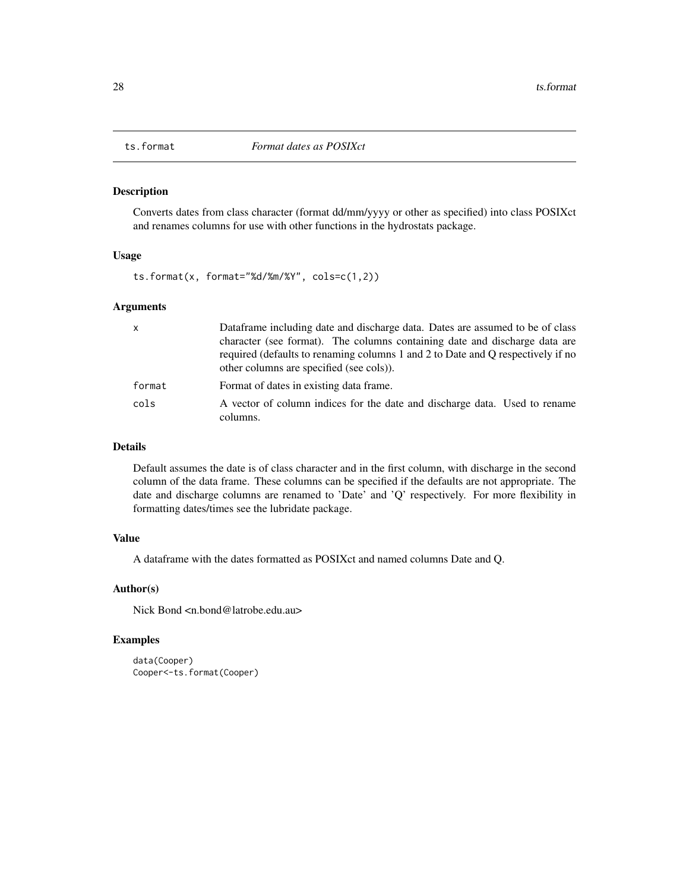<span id="page-27-1"></span><span id="page-27-0"></span>

## Description

Converts dates from class character (format dd/mm/yyyy or other as specified) into class POSIXct and renames columns for use with other functions in the hydrostats package.

#### Usage

ts.format(x, format="%d/%m/%Y", cols=c(1,2))

#### Arguments

| $\mathsf{x}$ | Dataframe including date and discharge data. Dates are assumed to be of class                                                                                                                             |
|--------------|-----------------------------------------------------------------------------------------------------------------------------------------------------------------------------------------------------------|
|              | character (see format). The columns containing date and discharge data are<br>required (defaults to renaming columns 1 and 2 to Date and Q respectively if no<br>other columns are specified (see cols)). |
| format       | Format of dates in existing data frame.                                                                                                                                                                   |
| cols         | A vector of column indices for the date and discharge data. Used to rename<br>columns.                                                                                                                    |

## Details

Default assumes the date is of class character and in the first column, with discharge in the second column of the data frame. These columns can be specified if the defaults are not appropriate. The date and discharge columns are renamed to 'Date' and 'Q' respectively. For more flexibility in formatting dates/times see the lubridate package.

## Value

A dataframe with the dates formatted as POSIXct and named columns Date and Q.

## Author(s)

Nick Bond <n.bond@latrobe.edu.au>

## Examples

```
data(Cooper)
Cooper<-ts.format(Cooper)
```